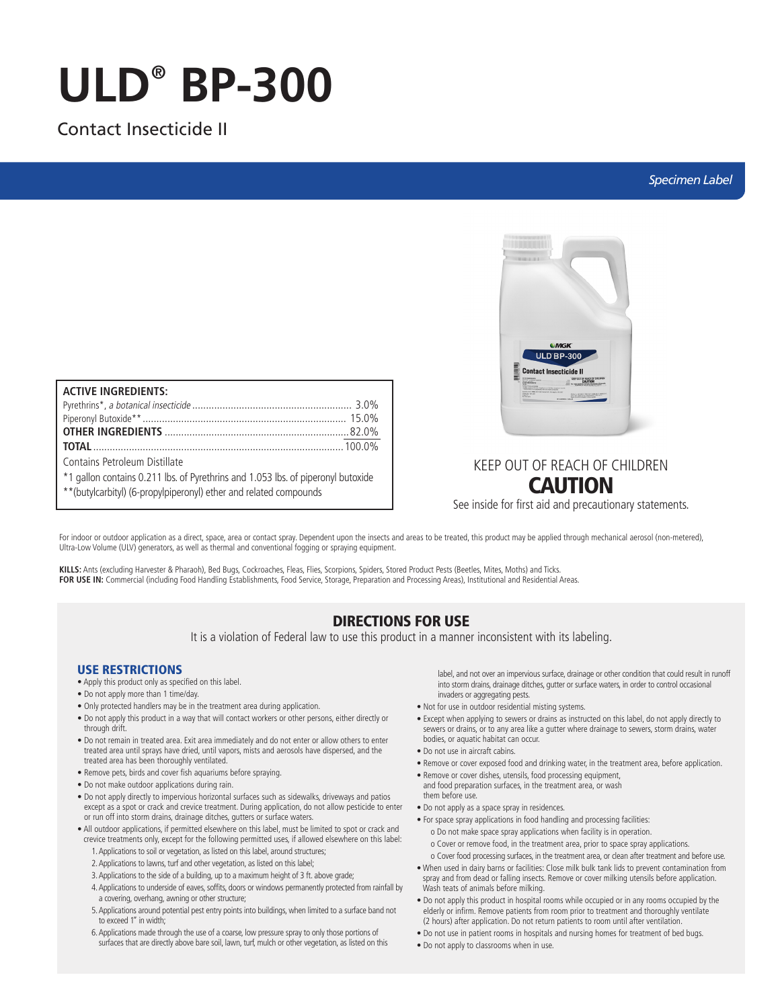# **ULD® BP-300**

## Contact Insecticide II

## *Specimen Label*

| <b>ACTIVE INGREDIENTS:</b>                                                       |  |
|----------------------------------------------------------------------------------|--|
|                                                                                  |  |
|                                                                                  |  |
|                                                                                  |  |
|                                                                                  |  |
| Contains Petroleum Distillate                                                    |  |
| *1 gallon contains 0.211 lbs. of Pyrethrins and 1.053 lbs. of piperonyl butoxide |  |
| ** (butylcarbityl) (6-propylpiperonyl) ether and related compounds               |  |



# KEEP OUT OF REACH OF CHILDREN CAUTION

See inside for first aid and precautionary statements.

For indoor or outdoor application as a direct, space, area or contact spray. Dependent upon the insects and areas to be treated, this product may be applied through mechanical aerosol (non-metered), Ultra-Low Volume (ULV) generators, as well as thermal and conventional fogging or spraying equipment.

**KILLS:** Ants (excluding Harvester & Pharaoh), Bed Bugs, Cockroaches, Fleas, Flies, Scorpions, Spiders, Stored Product Pests (Beetles, Mites, Moths) and Ticks. **FOR USE IN:** Commercial (including Food Handling Establishments, Food Service, Storage, Preparation and Processing Areas), Institutional and Residential Areas.

## DIRECTIONS FOR USE

It is a violation of Federal law to use this product in a manner inconsistent with its labeling.

## USE RESTRICTIONS

- Apply this product only as specified on this label.
- Do not apply more than 1 time/day.
- Only protected handlers may be in the treatment area during application.
- Do not apply this product in a way that will contact workers or other persons, either directly or through drift.
- Do not remain in treated area. Exit area immediately and do not enter or allow others to enter treated area until sprays have dried, until vapors, mists and aerosols have dispersed, and the treated area has been thoroughly ventilated.
- Remove pets, birds and cover fish aquariums before spraying.
- Do not make outdoor applications during rain.
- Do not apply directly to impervious horizontal surfaces such as sidewalks, driveways and patios except as a spot or crack and crevice treatment. During application, do not allow pesticide to enter or run off into storm drains, drainage ditches, gutters or surface waters.
- All outdoor applications, if permitted elsewhere on this label, must be limited to spot or crack and crevice treatments only, except for the following permitted uses, if allowed elsewhere on this label:
	- 1. Applications to soil or vegetation, as listed on this label, around structures;
	- 2. Applications to lawns, turf and other vegetation, as listed on this label;
	- 3. Applications to the side of a building, up to a maximum height of 3 ft. above grade;
	- 4. Applications to underside of eaves, soffits, doors or windows permanently protected from rainfall by a covering, overhang, awning or other structure;
	- 5. Applications around potential pest entry points into buildings, when limited to a surface band not to exceed 1" in width;
	- 6. Applications made through the use of a coarse, low pressure spray to only those portions of surfaces that are directly above bare soil, lawn, turf, mulch or other vegetation, as listed on this

label, and not over an impervious surface, drainage or other condition that could result in runoff into storm drains, drainage ditches, gutter or surface waters, in order to control occasional invaders or aggregating pests.

- Not for use in outdoor residential misting systems.
- Except when applying to sewers or drains as instructed on this label, do not apply directly to sewers or drains, or to any area like a gutter where drainage to sewers, storm drains, water bodies, or aquatic habitat can occur.
- Do not use in aircraft cabins.
- Remove or cover exposed food and drinking water, in the treatment area, before application.
- Remove or cover dishes, utensils, food processing equipment, and food preparation surfaces, in the treatment area, or wash them before use.
- 
- Do not apply as a space spray in residences.
- For space spray applications in food handling and processing facilities: o Do not make space spray applications when facility is in operation.
	- o Cover or remove food, in the treatment area, prior to space spray applications.
- o Cover food processing surfaces, in the treatment area, or clean after treatment and before use. • When used in dairy barns or facilities: Close milk bulk tank lids to prevent contamination from
- spray and from dead or falling insects. Remove or cover milking utensils before application. Wash teats of animals before milking.
- Do not apply this product in hospital rooms while occupied or in any rooms occupied by the elderly or infirm. Remove patients from room prior to treatment and thoroughly ventilate (2 hours) after application. Do not return patients to room until after ventilation.
- Do not use in patient rooms in hospitals and nursing homes for treatment of bed bugs.
- Do not apply to classrooms when in use.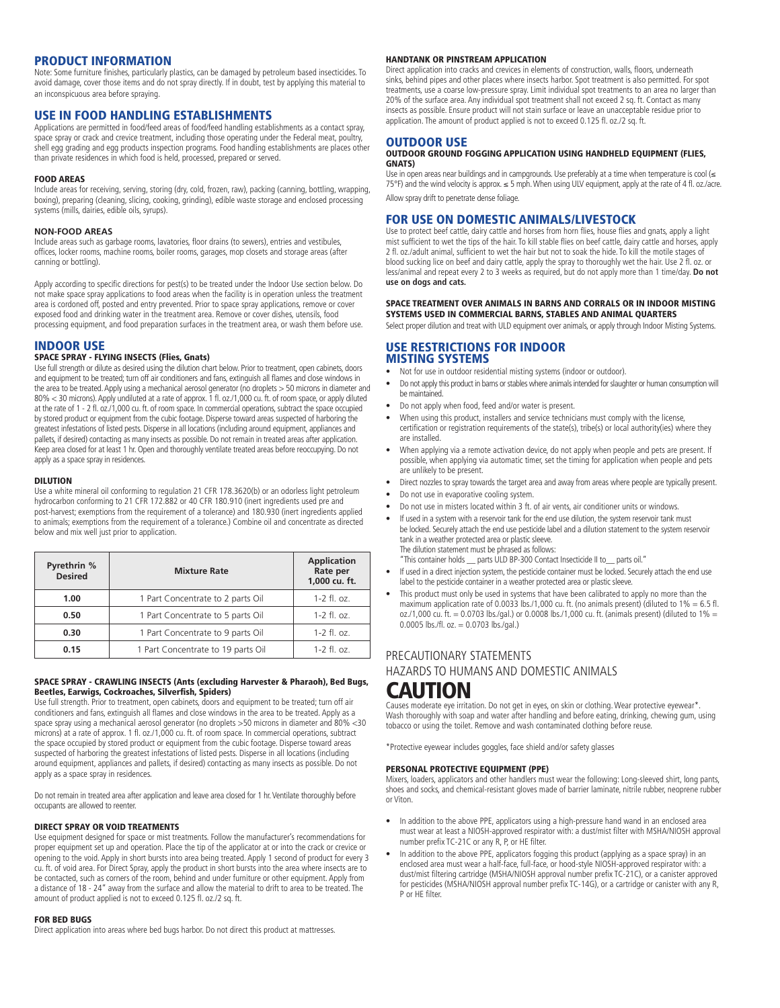## PRODUCT INFORMATION

Note: Some furniture finishes, particularly plastics, can be damaged by petroleum based insecticides. To avoid damage, cover those items and do not spray directly. If in doubt, test by applying this material to an inconspicuous area before spraying.

## USE IN FOOD HANDLING ESTABLISHMENTS

Applications are permitted in food/feed areas of food/feed handling establishments as a contact spray, space spray or crack and crevice treatment, including those operating under the Federal meat, poultry, shell egg grading and egg products inspection programs. Food handling establishments are places other than private residences in which food is held, processed, prepared or served.

## FOOD AREAS

Include areas for receiving, serving, storing (dry, cold, frozen, raw), packing (canning, bottling, wrapping, boxing), preparing (cleaning, slicing, cooking, grinding), edible waste storage and enclosed processing systems (mills, dairies, edible oils, syrups).

## **NON-FOOD AREAS**

Include areas such as garbage rooms, lavatories, floor drains (to sewers), entries and vestibules, offices, locker rooms, machine rooms, boiler rooms, garages, mop closets and storage areas (after canning or bottling).

Apply according to specific directions for pest(s) to be treated under the Indoor Use section below. Do not make space spray applications to food areas when the facility is in operation unless the treatment area is cordoned off, posted and entry prevented. Prior to space spray applications, remove or cover exposed food and drinking water in the treatment area. Remove or cover dishes, utensils, food processing equipment, and food preparation surfaces in the treatment area, or wash them before use.

## INDOOR USE

## SPACE SPRAY - FLYING INSECTS (Flies, Gnats)

Use full strength or dilute as desired using the dilution chart below. Prior to treatment, open cabinets, doors and equipment to be treated; turn off air conditioners and fans, extinguish all flames and close windows in the area to be treated. Apply using a mechanical aerosol generator (no droplets > 50 microns in diameter and 80% < 30 microns). Apply undiluted at a rate of approx. 1 fl. oz./1,000 cu. ft. of room space, or apply diluted at the rate of 1 - 2 fl. oz./1,000 cu. ft. of room space. In commercial operations, subtract the space occupied by stored product or equipment from the cubic footage. Disperse toward areas suspected of harboring the greatest infestations of listed pests. Disperse in all locations (including around equipment, appliances and pallets, if desired) contacting as many insects as possible. Do not remain in treated areas after application. Keep area closed for at least 1 hr. Open and thoroughly ventilate treated areas before reoccupying. Do not apply as a space spray in residences.

## DILUTION

Use a white mineral oil conforming to regulation 21 CFR 178.3620(b) or an odorless light petroleum hydrocarbon conforming to 21 CFR 172.882 or 40 CFR 180.910 (inert ingredients used pre and post-harvest; exemptions from the requirement of a tolerance) and 180.930 (inert ingredients applied to animals; exemptions from the requirement of a tolerance.) Combine oil and concentrate as directed below and mix well just prior to application.

| Pyrethrin %<br><b>Desired</b> | <b>Mixture Rate</b>                | <b>Application</b><br>Rate per<br>1,000 cu. ft. |
|-------------------------------|------------------------------------|-------------------------------------------------|
| 1.00                          | 1 Part Concentrate to 2 parts Oil  | $1 - 2$ fl. oz.                                 |
| 0.50                          | 1 Part Concentrate to 5 parts Oil  | $1 - 2$ fl. oz.                                 |
| 0.30                          | 1 Part Concentrate to 9 parts Oil  | $1 - 2$ fl. $0z$ .                              |
| 0.15                          | 1 Part Concentrate to 19 parts Oil | $1 - 2$ fl. oz.                                 |

## SPACE SPRAY - CRAWLING INSECTS (Ants (excluding Harvester & Pharaoh), Bed Bugs, Beetles, Earwigs, Cockroaches, Silverfish, Spiders)

Use full strength. Prior to treatment, open cabinets, doors and equipment to be treated; turn off air conditioners and fans, extinguish all flames and close windows in the area to be treated. Apply as a space spray using a mechanical aerosol generator (no droplets >50 microns in diameter and 80% <30 microns) at a rate of approx. 1 fl. oz./1,000 cu. ft. of room space. In commercial operations, subtract the space occupied by stored product or equipment from the cubic footage. Disperse toward areas suspected of harboring the greatest infestations of listed pests. Disperse in all locations (including around equipment, appliances and pallets, if desired) contacting as many insects as possible. Do not apply as a space spray in residences.

Do not remain in treated area after application and leave area closed for 1 hr. Ventilate thoroughly before occupants are allowed to reenter.

## DIRECT SPRAY OR VOID TREATMENTS

Use equipment designed for space or mist treatments. Follow the manufacturer's recommendations for proper equipment set up and operation. Place the tip of the applicator at or into the crack or crevice or opening to the void. Apply in short bursts into area being treated. Apply 1 second of product for every 3 cu. ft. of void area. For Direct Spray, apply the product in short bursts into the area where insects are to be contacted, such as corners of the room, behind and under furniture or other equipment. Apply from a distance of 18 - 24" away from the surface and allow the material to drift to area to be treated. The amount of product applied is not to exceed 0.125 fl. oz./2 sq. ft.

#### FOR BED BUGS

Direct application into areas where bed bugs harbor. Do not direct this product at mattresses.

## HANDTANK OR PINSTREAM APPLICATION

Direct application into cracks and crevices in elements of construction, walls, floors, underneath sinks, behind pipes and other places where insects harbor. Spot treatment is also permitted. For spot treatments, use a coarse low-pressure spray. Limit individual spot treatments to an area no larger than 20% of the surface area. Any individual spot treatment shall not exceed 2 sq. ft. Contact as many insects as possible. Ensure product will not stain surface or leave an unacceptable residue prior to application. The amount of product applied is not to exceed 0.125 fl. oz./2 sq. ft.

## OUTDOOR USE

## OUTDOOR GROUND FOGGING APPLICATION USING HANDHELD EQUIPMENT (FLIES, GNATS)

Use in open areas near buildings and in campgrounds. Use preferably at a time when temperature is cool (≤ 75°F) and the wind velocity is approx. ≤ 5 mph. When using ULV equipment, apply at the rate of 4 fl. oz./acre. Allow spray drift to penetrate dense foliage.

## FOR USE ON DOMESTIC ANIMALS/LIVESTOCK

Use to protect beef cattle, dairy cattle and horses from horn flies, house flies and gnats, apply a light mist sufficient to wet the tips of the hair. To kill stable flies on beef cattle, dairy cattle and horses, apply 2 fl. oz./adult animal, sufficient to wet the hair but not to soak the hide. To kill the motile stages of blood sucking lice on beef and dairy cattle, apply the spray to thoroughly wet the hair. Use 2 fl. oz. or less/animal and repeat every 2 to 3 weeks as required, but do not apply more than 1 time/day. **Do not use on dogs and cats.**

#### SPACE TREATMENT OVER ANIMALS IN BARNS AND CORRALS OR IN INDOOR MISTING SYSTEMS USED IN COMMERCIAL BARNS, STABLES AND ANIMAL QUARTERS

Select proper dilution and treat with ULD equipment over animals, or apply through Indoor Misting Systems.

## USE RESTRICTIONS FOR INDOOR MISTING SYSTEMS

- Not for use in outdoor residential misting systems (indoor or outdoor).
- Do not apply this product in barns or stables where animals intended for slaughter or human consumption will be maintained.
- Do not apply when food, feed and/or water is present.
- When using this product, installers and service technicians must comply with the license, certification or registration requirements of the state(s), tribe(s) or local authority(ies) where they are installed.
- When applying via a remote activation device, do not apply when people and pets are present. If possible, when applying via automatic timer, set the timing for application when people and pets are unlikely to be present.
- Direct nozzles to spray towards the target area and away from areas where people are typically present.
- Do not use in evaporative cooling system.
- Do not use in misters located within 3 ft. of air vents, air conditioner units or windows.
- If used in a system with a reservoir tank for the end use dilution, the system reservoir tank must be locked. Securely attach the end use pesticide label and a dilution statement to the system reservoir tank in a weather protected area or plastic sleeve. The dilution statement must be phrased as follows:

"This container holds \_\_ parts ULD BP-300 Contact Insecticide II to\_\_ parts oil."

- If used in a direct injection system, the pesticide container must be locked. Securely attach the end use label to the pesticide container in a weather protected area or plastic sleeve.
- This product must only be used in systems that have been calibrated to apply no more than the maximum application rate of 0.0033 lbs./1,000 cu. ft. (no animals present) (diluted to  $1\% = 6.5$  fl. oz./1,000 cu. ft. = 0.0703 lbs./gal.) or 0.0008 lbs./1,000 cu. ft. (animals present) (diluted to 1% = 0.0005 lbs./fl. oz. = 0.0703 lbs./gal.)

## PRECAUTIONARY STATEMENTS HAZARDS TO HUMANS AND DOMESTIC ANIMALS CAUTION

Causes moderate eye irritation. Do not get in eyes, on skin or clothing. Wear protective eyewear\*. Wash thoroughly with soap and water after handling and before eating, drinking, chewing gum, using tobacco or using the toilet. Remove and wash contaminated clothing before reuse.

\*Protective eyewear includes goggles, face shield and/or safety glasses

### PERSONAL PROTECTIVE EQUIPMENT (PPE)

Mixers, loaders, applicators and other handlers must wear the following: Long-sleeved shirt, long pants, shoes and socks, and chemical-resistant gloves made of barrier laminate, nitrile rubber, neoprene rubber or Viton.

- In addition to the above PPE, applicators using a high-pressure hand wand in an enclosed area must wear at least a NIOSH-approved respirator with: a dust/mist filter with MSHA/NIOSH approval number prefix TC-21C or any R, P, or HE filter.
- In addition to the above PPE, applicators fogging this product (applying as a space spray) in an enclosed area must wear a half-face, full-face, or hood-style NIOSH-approved respirator with: a dust/mist filtering cartridge (MSHA/NIOSH approval number prefix TC-21C), or a canister approved for pesticides (MSHA/NIOSH approval number prefix TC-14G), or a cartridge or canister with any R, P or HF filter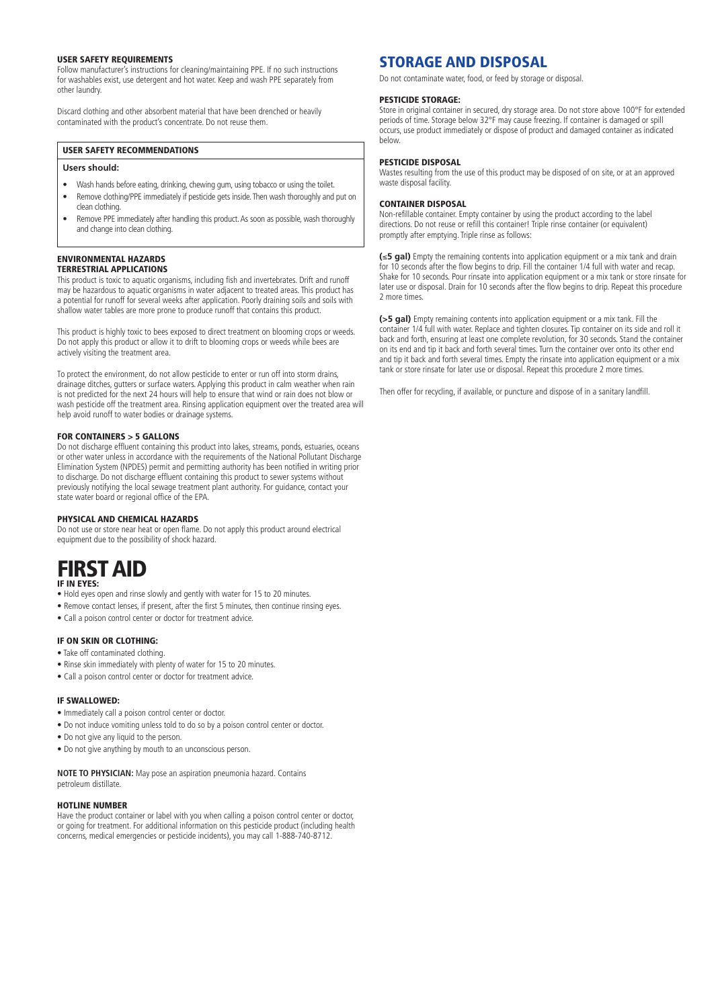#### USER SAFETY REQUIREMENTS

Follow manufacturer's instructions for cleaning/maintaining PPE. If no such instructions for washables exist, use detergent and hot water. Keep and wash PPE separately from other laundry.

Discard clothing and other absorbent material that have been drenched or heavily contaminated with the product's concentrate. Do not reuse them.

## USER SAFETY RECOMMENDATIONS

## **Users should:**

- Wash hands before eating, drinking, chewing gum, using tobacco or using the toilet.
- Remove clothing/PPE immediately if pesticide gets inside. Then wash thoroughly and put on clean clothing.
- Remove PPE immediately after handling this product. As soon as possible, wash thoroughly and change into clean clothing.

#### ENVIRONMENTAL HAZARDS TERRESTRIAL APPLICATIONS

This product is toxic to aquatic organisms, including fish and invertebrates. Drift and runoff may be hazardous to aquatic organisms in water adjacent to treated areas. This product has a potential for runoff for several weeks after application. Poorly draining soils and soils with shallow water tables are more prone to produce runoff that contains this product.

This product is highly toxic to bees exposed to direct treatment on blooming crops or weeds. Do not apply this product or allow it to drift to blooming crops or weeds while bees are actively visiting the treatment area.

To protect the environment, do not allow pesticide to enter or run off into storm drains, drainage ditches, gutters or surface waters. Applying this product in calm weather when rain is not predicted for the next 24 hours will help to ensure that wind or rain does not blow or wash pesticide off the treatment area. Rinsing application equipment over the treated area will help avoid runoff to water bodies or drainage systems.

#### FOR CONTAINERS > 5 GALLONS

Do not discharge effluent containing this product into lakes, streams, ponds, estuaries, oceans or other water unless in accordance with the requirements of the National Pollutant Discharge Elimination System (NPDES) permit and permitting authority has been notified in writing prior to discharge. Do not discharge effluent containing this product to sewer systems without previously notifying the local sewage treatment plant authority. For guidance, contact your state water board or regional office of the EPA.

## PHYSICAL AND CHEMICAL HAZARDS

Do not use or store near heat or open flame. Do not apply this product around electrical equipment due to the possibility of shock hazard.

## FIRST AID IF IN EYES:

- Hold eyes open and rinse slowly and gently with water for 15 to 20 minutes.
- Remove contact lenses, if present, after the first 5 minutes, then continue rinsing eyes.
- Call a poison control center or doctor for treatment advice.

## IF ON SKIN OR CLOTHING:

- Take off contaminated clothing.
- Rinse skin immediately with plenty of water for 15 to 20 minutes.
- Call a poison control center or doctor for treatment advice.

#### IF SWALLOWED:

- Immediately call a poison control center or doctor.
- Do not induce vomiting unless told to do so by a poison control center or doctor.
- Do not give any liquid to the person.
- Do not give anything by mouth to an unconscious person.

**NOTE TO PHYSICIAN:** May pose an aspiration pneumonia hazard. Contains petroleum distillate.

#### HOTLINE NUMBER

Have the product container or label with you when calling a poison control center or doctor, or going for treatment. For additional information on this pesticide product (including health concerns, medical emergencies or pesticide incidents), you may call 1-888-740-8712.

## STORAGE AND DISPOSAL

Do not contaminate water, food, or feed by storage or disposal.

#### PESTICIDE STORAGE:

Store in original container in secured, dry storage area. Do not store above 100°F for extended periods of time. Storage below 32°F may cause freezing. If container is damaged or spill occurs, use product immediately or dispose of product and damaged container as indicated below.

## PESTICIDE DISPOSAL

Wastes resulting from the use of this product may be disposed of on site, or at an approved waste disposal facility.

#### CONTAINER DISPOSAL

Non-refillable container. Empty container by using the product according to the label directions. Do not reuse or refill this container! Triple rinse container (or equivalent) promptly after emptying. Triple rinse as follows:

**(**≤**5 gal)** Empty the remaining contents into application equipment or a mix tank and drain for 10 seconds after the flow begins to drip. Fill the container 1/4 full with water and recap. Shake for 10 seconds. Pour rinsate into application equipment or a mix tank or store rinsate for later use or disposal. Drain for 10 seconds after the flow begins to drip. Repeat this procedure 2 more times.

**(>5 gal)** Empty remaining contents into application equipment or a mix tank. Fill the container 1/4 full with water. Replace and tighten closures. Tip container on its side and roll it back and forth, ensuring at least one complete revolution, for 30 seconds. Stand the container on its end and tip it back and forth several times. Turn the container over onto its other end and tip it back and forth several times. Empty the rinsate into application equipment or a mix tank or store rinsate for later use or disposal. Repeat this procedure 2 more times.

Then offer for recycling, if available, or puncture and dispose of in a sanitary landfill.